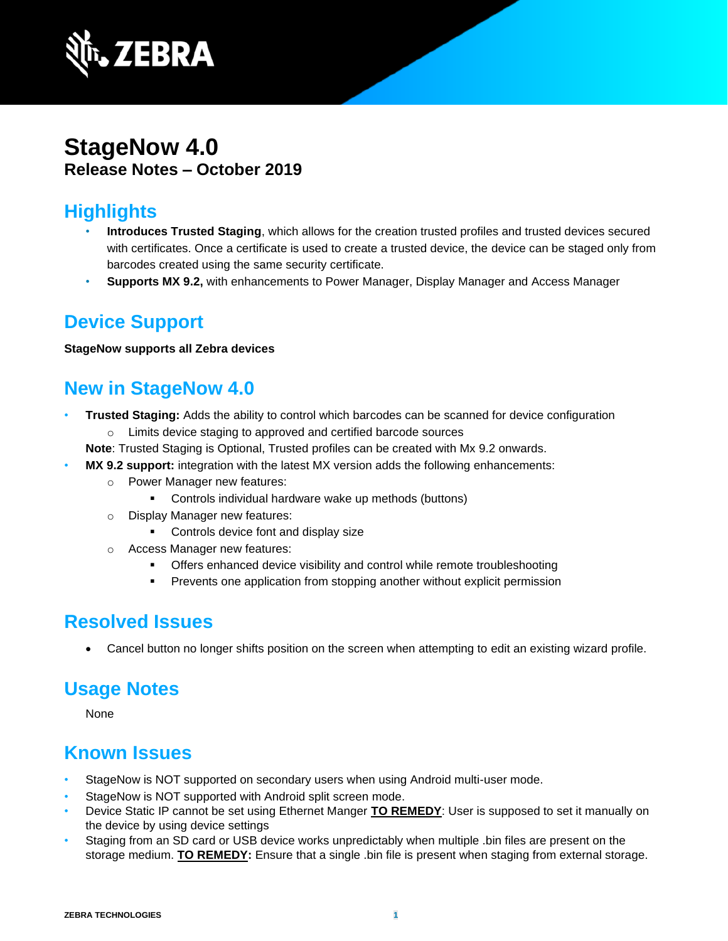

# **StageNow 4.0 Release Notes – October 2019**

# **Highlights**

- **Introduces Trusted Staging**, which allows for the creation trusted profiles and trusted devices secured with certificates. Once a certificate is used to create a trusted device, the device can be staged only from barcodes created using the same security certificate.
- **Supports MX 9.2,** with enhancements to Power Manager, Display Manager and Access Manager

# **Device Support**

#### **StageNow supports all Zebra devices**

# **New in StageNow 4.0**

- **Trusted Staging:** Adds the ability to control which barcodes can be scanned for device configuration o Limits device staging to approved and certified barcode sources
	- **Note**: Trusted Staging is Optional, Trusted profiles can be created with Mx 9.2 onwards.
	- **MX 9.2 support:** integration with the latest MX version adds the following enhancements:
		- o Power Manager new features:
			- Controls individual hardware wake up methods (buttons)
		- o Display Manager new features:
			- Controls device font and display size
		- o Access Manager new features:
			- Offers enhanced device visibility and control while remote troubleshooting
			- **•** Prevents one application from stopping another without explicit permission

# **Resolved Issues**

• Cancel button no longer shifts position on the screen when attempting to edit an existing wizard profile.

#### **Usage Notes**

None

#### **Known Issues**

- StageNow is NOT supported on secondary users when using Android multi-user mode.
- StageNow is NOT supported with Android split screen mode.
- Device Static IP cannot be set using Ethernet Manger **TO REMEDY**: User is supposed to set it manually on the device by using device settings
- Staging from an SD card or USB device works unpredictably when multiple .bin files are present on the storage medium. **TO REMEDY:** Ensure that a single .bin file is present when staging from external storage.